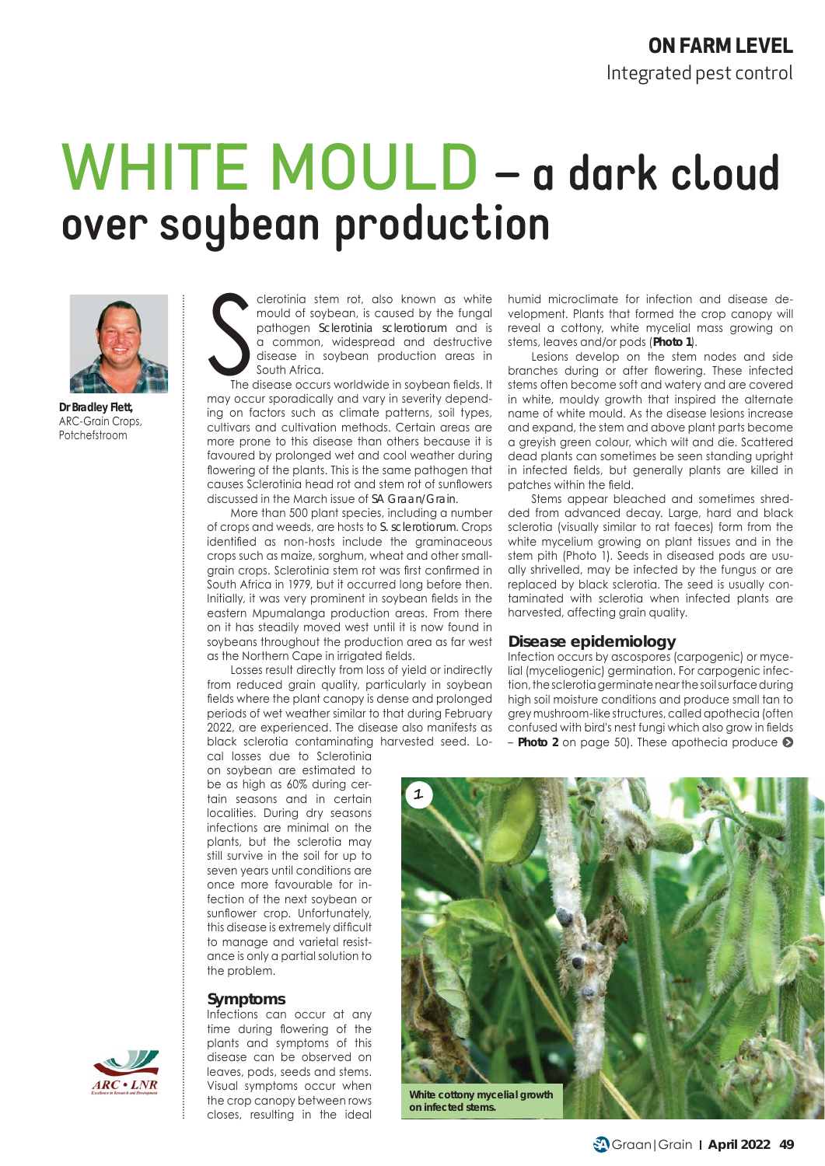# WHITE MOULD **– a dark cloud over soybean production**



**Dr Bradley Flett,** ARC-Grain Crops, Potchefstroom

S clerotinia stem rot, also known as white mould of soybean, is caused by the fungal pathogen *Sclerotinia sclerotiorum* and is a common, widespread and destructive disease in soybean production areas in South Africa.

The disease occurs worldwide in soybean fields. It may occur sporadically and vary in severity depending on factors such as climate patterns, soil types, cultivars and cultivation methods. Certain areas are more prone to this disease than others because it is favoured by prolonged wet and cool weather during flowering of the plants. This is the same pathogen that causes Sclerotinia head rot and stem rot of sunflowers discussed in the March issue of *SA Graan/Grain*.

More than 500 plant species, including a number of crops and weeds, are hosts to *S. sclerotiorum*. Crops identified as non-hosts include the graminaceous crops such as maize, sorghum, wheat and other smallgrain crops. Sclerotinia stem rot was first confirmed in South Africa in 1979, but it occurred long before then. Initially, it was very prominent in soybean fields in the eastern Mpumalanga production areas. From there on it has steadily moved west until it is now found in soybeans throughout the production area as far west as the Northern Cape in irrigated fields.

Losses result directly from loss of yield or indirectly from reduced grain quality, particularly in soybean fields where the plant canopy is dense and prolonged periods of wet weather similar to that during February 2022, are experienced. The disease also manifests as black sclerotia contaminating harvested seed. Lohumid microclimate for infection and disease development. Plants that formed the crop canopy will reveal a cottony, white mycelial mass growing on stems, leaves and/or pods (**Photo 1**).

Lesions develop on the stem nodes and side branches during or after flowering. These infected stems often become soft and watery and are covered in white, mouldy growth that inspired the alternate name of white mould. As the disease lesions increase and expand, the stem and above plant parts become a greyish green colour, which wilt and die. Scattered dead plants can sometimes be seen standing upright in infected fields, but generally plants are killed in patches within the field.

Stems appear bleached and sometimes shredded from advanced decay. Large, hard and black sclerotia (visually similar to rat faeces) form from the white mycelium growing on plant tissues and in the stem pith (Photo 1). Seeds in diseased pods are usually shrivelled, may be infected by the fungus or are replaced by black sclerotia. The seed is usually contaminated with sclerotia when infected plants are harvested, affecting grain quality.

#### **Disease epidemiology**

Infection occurs by ascospores (carpogenic) or mycelial (myceliogenic) germination. For carpogenic infection, the sclerotia germinate near the soil surface during high soil moisture conditions and produce small tan to grey mushroom-like structures, called apothecia (often confused with bird's nest fungi which also grow in fields – **Photo 2** on page 50). These apothecia produce

cal losses due to Sclerotinia on soybean are estimated to be as high as 60% during certain seasons and in certain localities. During dry seasons infections are minimal on the plants, but the sclerotia may still survive in the soil for up to seven years until conditions are once more favourable for infection of the next soybean or sunflower crop. Unfortunately, this disease is extremely difficult to manage and varietal resistance is only a partial solution to the problem.

#### **Symptoms**

Infections can occur at any time during flowering of the plants and symptoms of this disease can be observed on leaves, pods, seeds and stems. Visual symptoms occur when the crop canopy between rows closes, resulting in the ideal